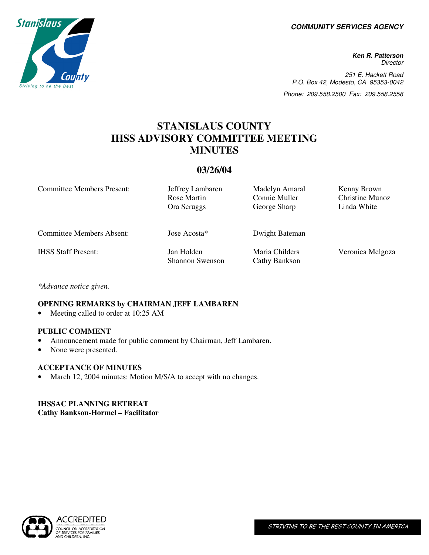**COMMUNITY SERVICES AGENCY** 

**Ken R. Patterson Director** 251 E. Hackett Road P.O. Box 42, Modesto, CA 95353-0042 Phone: 209.558.2500 Fax: 209.558.2558

# **STANISLAUS COUNTY IHSS ADVISORY COMMITTEE MEETING MINUTES**

## **03/26/04**

Committee Members Present: Jeffrey Lambaren Madelyn Amaral Kenny Brown Rose Martin Connie Muller Christine Munoz Ora Scruggs George Sharp Linda White Committee Members Absent: Jose Acosta\* Dwight Bateman IHSS Staff Present: Jan Holden Shannon Swenson Maria Childers Cathy Bankson Veronica Melgoza

*\*Advance notice given.*

## **OPENING REMARKS by CHAIRMAN JEFF LAMBAREN**

Meeting called to order at 10:25 AM

#### **PUBLIC COMMENT**

- Announcement made for public comment by Chairman, Jeff Lambaren.
- None were presented.

#### **ACCEPTANCE OF MINUTES**

• March 12, 2004 minutes: Motion M/S/A to accept with no changes.

## **IHSSAC PLANNING RETREAT Cathy Bankson-Hormel – Facilitator**

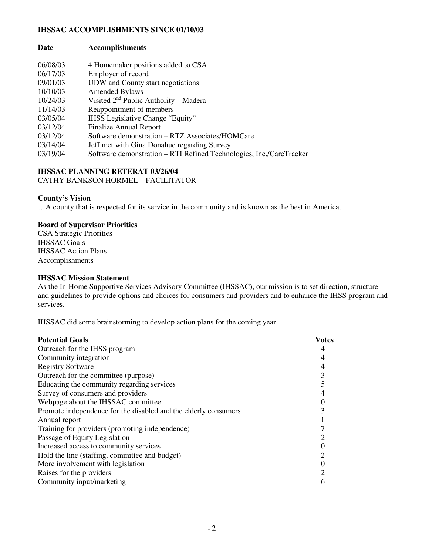#### **IHSSAC ACCOMPLISHMENTS SINCE 01/10/03**

| Date     | <b>Accomplishments</b>             |
|----------|------------------------------------|
| 06/08/03 | 4 Homemaker positions added to CSA |

| 06/17/03 | Employer of record                                                  |
|----------|---------------------------------------------------------------------|
| 09/01/03 | UDW and County start negotiations                                   |
| 10/10/03 | <b>Amended Bylaws</b>                                               |
| 10/24/03 | Visited $2nd$ Public Authority – Madera                             |
| 11/14/03 | Reappointment of members                                            |
| 03/05/04 | <b>IHSS</b> Legislative Change "Equity"                             |
| 03/12/04 | <b>Finalize Annual Report</b>                                       |
| 03/12/04 | Software demonstration – RTZ Associates/HOMCare                     |
| 03/14/04 | Jeff met with Gina Donahue regarding Survey                         |
| 03/19/04 | Software demonstration – RTI Refined Technologies, Inc./CareTracker |
|          |                                                                     |

## **IHSSAC PLANNING RETERAT 03/26/04**

CATHY BANKSON HORMEL – FACILITATOR

#### **County's Vision**

…A county that is respected for its service in the community and is known as the best in America.

#### **Board of Supervisor Priorities**

CSA Strategic Priorities IHSSAC Goals IHSSAC Action Plans Accomplishments

#### **IHSSAC Mission Statement**

As the In-Home Supportive Services Advisory Committee (IHSSAC), our mission is to set direction, structure and guidelines to provide options and choices for consumers and providers and to enhance the IHSS program and services.

IHSSAC did some brainstorming to develop action plans for the coming year.

| <b>Potential Goals</b>                                          | Votes |  |
|-----------------------------------------------------------------|-------|--|
| Outreach for the IHSS program                                   |       |  |
| Community integration                                           |       |  |
| <b>Registry Software</b>                                        |       |  |
| Outreach for the committee (purpose)                            |       |  |
| Educating the community regarding services                      |       |  |
| Survey of consumers and providers                               |       |  |
| Webpage about the IHSSAC committee                              |       |  |
| Promote independence for the disabled and the elderly consumers |       |  |
| Annual report                                                   |       |  |
| Training for providers (promoting independence)                 |       |  |
| Passage of Equity Legislation                                   |       |  |
| Increased access to community services                          |       |  |
| Hold the line (staffing, committee and budget)                  |       |  |
| More involvement with legislation                               |       |  |
| Raises for the providers                                        |       |  |
| Community input/marketing                                       |       |  |